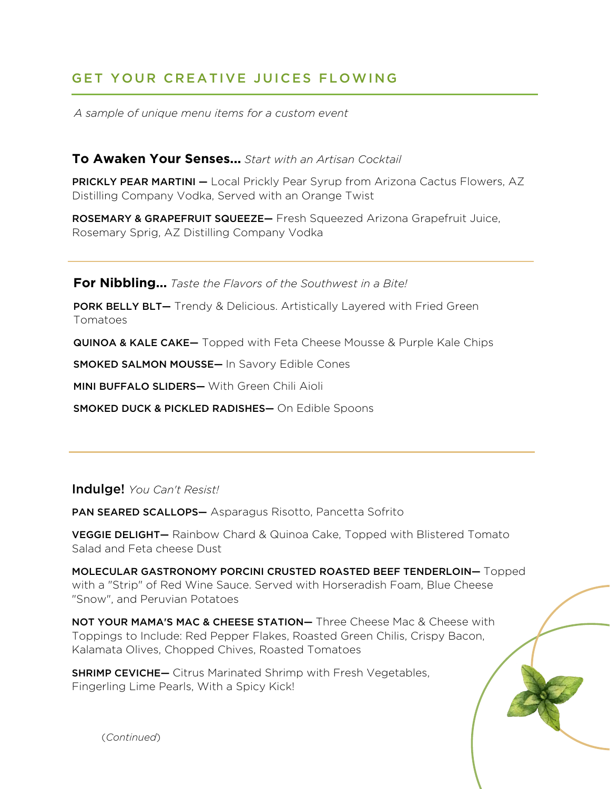# GET YOUR CREATIVE JUICES FLOWING

*A sample of unique menu items for a custom event*

#### **To Awaken Your Senses...** *Start with an Artisan Cocktail*

PRICKLY PEAR MARTINI - Local Prickly Pear Syrup from Arizona Cactus Flowers, AZ Distilling Company Vodka, Served with an Orange Twist

ROSEMARY & GRAPEFRUIT SQUEEZE— Fresh Squeezed Arizona Grapefruit Juice, Rosemary Sprig, AZ Distilling Company Vodka

**For Nibbling...** *Taste the Flavors of the Southwest in a Bite!*

PORK BELLY BLT- Trendy & Delicious. Artistically Layered with Fried Green Tomatoes

**QUINOA & KALE CAKE—** Topped with Feta Cheese Mousse & Purple Kale Chips

SMOKED SALMON MOUSSE— In Savory Edible Cones

MINI BUFFALO SLIDERS— With Green Chili Aioli

SMOKED DUCK & PICKLED RADISHES— On Edible Spoons

Indulge! *You Can't Resist!*

PAN SEARED SCALLOPS— Asparagus Risotto, Pancetta Sofrito

VEGGIE DELIGHT— Rainbow Chard & Quinoa Cake, Topped with Blistered Tomato Salad and Feta cheese Dust

MOLECULAR GASTRONOMY PORCINI CRUSTED ROASTED BEEF TENDERLOIN— Topped with a "Strip" of Red Wine Sauce. Served with Horseradish Foam, Blue Cheese "Snow", and Peruvian Potatoes

NOT YOUR MAMA'S MAC & CHEESE STATION- Three Cheese Mac & Cheese with Toppings to Include: Red Pepper Flakes, Roasted Green Chilis, Crispy Bacon, Kalamata Olives, Chopped Chives, Roasted Tomatoes

**SHRIMP CEVICHE-** Citrus Marinated Shrimp with Fresh Vegetables, Fingerling Lime Pearls, With a Spicy Kick!

(*Continued*)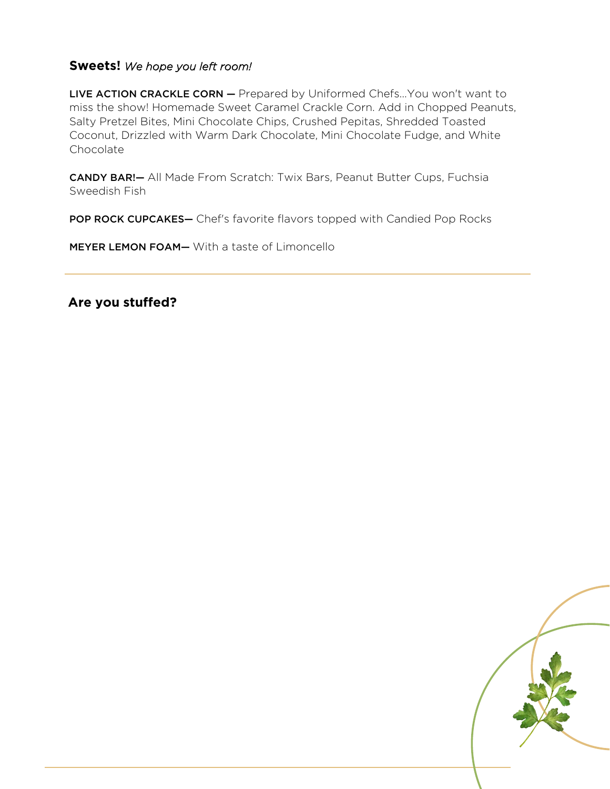### **Sweets!** *We hope you left room!*

LIVE ACTION CRACKLE CORN - Prepared by Uniformed Chefs... You won't want to miss the show! Homemade Sweet Caramel Crackle Corn. Add in Chopped Peanuts, Salty Pretzel Bites, Mini Chocolate Chips, Crushed Pepitas, Shredded Toasted Coconut, Drizzled with Warm Dark Chocolate, Mini Chocolate Fudge, and White **Chocolate** 

CANDY BAR!— All Made From Scratch: Twix Bars, Peanut Butter Cups, Fuchsia Sweedish Fish

POP ROCK CUPCAKES- Chef's favorite flavors topped with Candied Pop Rocks

MEYER LEMON FOAM— With a taste of Limoncello

**Are you stuffed?**